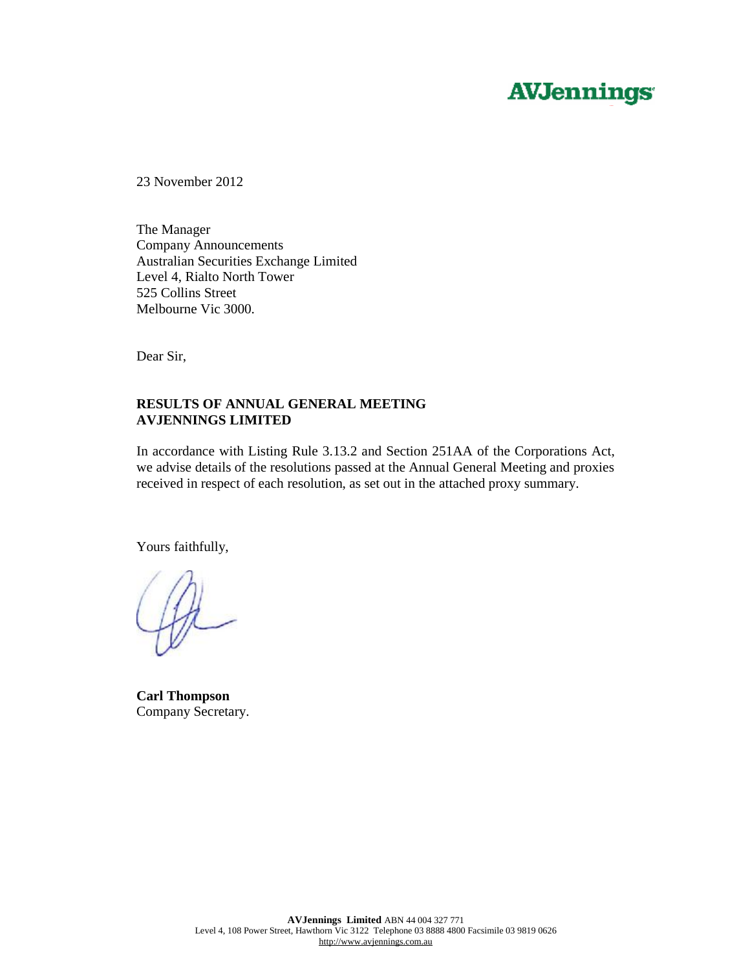# **AVJennings**

23 November 2012

The Manager Company Announcements Australian Securities Exchange Limited Level 4, Rialto North Tower 525 Collins Street Melbourne Vic 3000.

Dear Sir,

## **RESULTS OF ANNUAL GENERAL MEETING AVJENNINGS LIMITED**

In accordance with Listing Rule 3.13.2 and Section 251AA of the Corporations Act, we advise details of the resolutions passed at the Annual General Meeting and proxies received in respect of each resolution, as set out in the attached proxy summary.

Yours faithfully,

**Carl Thompson**  Company Secretary.